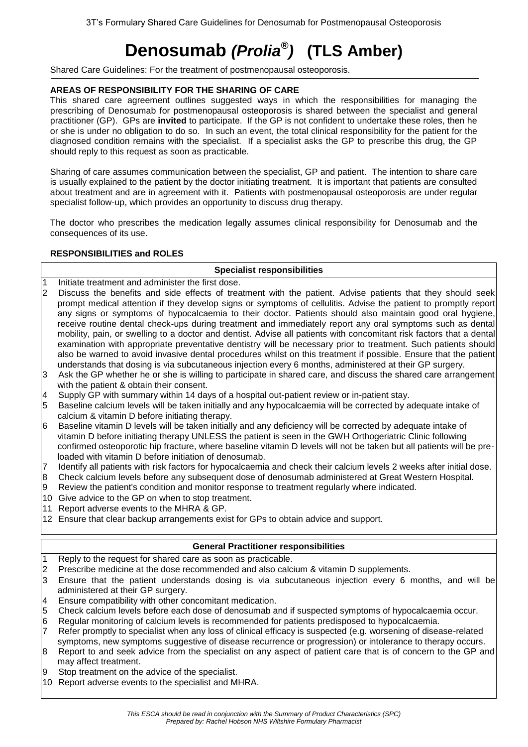# **Denosumab** *(Prolia® )* **(TLS Amber)**

Shared Care Guidelines: For the treatment of postmenopausal osteoporosis.

# **AREAS OF RESPONSIBILITY FOR THE SHARING OF CARE**

This shared care agreement outlines suggested ways in which the responsibilities for managing the prescribing of Denosumab for postmenopausal osteoporosis is shared between the specialist and general practitioner (GP). GPs are **invited** to participate. If the GP is not confident to undertake these roles, then he or she is under no obligation to do so. In such an event, the total clinical responsibility for the patient for the diagnosed condition remains with the specialist. If a specialist asks the GP to prescribe this drug, the GP should reply to this request as soon as practicable.

Sharing of care assumes communication between the specialist, GP and patient. The intention to share care is usually explained to the patient by the doctor initiating treatment. It is important that patients are consulted about treatment and are in agreement with it. Patients with postmenopausal osteoporosis are under regular specialist follow-up, which provides an opportunity to discuss drug therapy.

The doctor who prescribes the medication legally assumes clinical responsibility for Denosumab and the consequences of its use.

## **RESPONSIBILITIES and ROLES**

## **Specialist responsibilities**

- 1 Initiate treatment and administer the first dose.
- 2 Discuss the benefits and side effects of treatment with the patient. Advise patients that they should seek prompt medical attention if they develop signs or symptoms of cellulitis. Advise the patient to promptly report any signs or symptoms of hypocalcaemia to their doctor. Patients should also maintain good oral hygiene, receive routine dental check-ups during treatment and immediately report any oral symptoms such as dental mobility, pain, or swelling to a doctor and dentist. Advise all patients with concomitant risk factors that a dental examination with appropriate preventative dentistry will be necessary prior to treatment. Such patients should also be warned to avoid invasive dental procedures whilst on this treatment if possible. Ensure that the patient understands that dosing is via subcutaneous injection every 6 months, administered at their GP surgery.
- 3 Ask the GP whether he or she is willing to participate in shared care, and discuss the shared care arrangement with the patient & obtain their consent.
- 4 Supply GP with summary within 14 days of a hospital out-patient review or in-patient stay.
- 5 Baseline calcium levels will be taken initially and any hypocalcaemia will be corrected by adequate intake of calcium & vitamin D before initiating therapy.
- 6 Baseline vitamin D levels will be taken initially and any deficiency will be corrected by adequate intake of vitamin D before initiating therapy UNLESS the patient is seen in the GWH Orthogeriatric Clinic following confirmed osteoporotic hip fracture, where baseline vitamin D levels will not be taken but all patients will be preloaded with vitamin D before initiation of denosumab.
- 7 Identify all patients with risk factors for hypocalcaemia and check their calcium levels 2 weeks after initial dose.
- 8 Check calcium levels before any subsequent dose of denosumab administered at Great Western Hospital.
- 9 Review the patient's condition and monitor response to treatment regularly where indicated.
- 10 Give advice to the GP on when to stop treatment.
- 11 Report adverse events to the MHRA & GP.
- 12 Ensure that clear backup arrangements exist for GPs to obtain advice and support.

# **General Practitioner responsibilities**

- 1 Reply to the request for shared care as soon as practicable.
- 2 Prescribe medicine at the dose recommended and also calcium & vitamin D supplements.
- 3 Ensure that the patient understands dosing is via subcutaneous injection every 6 months, and will be administered at their GP surgery.
- 4 Ensure compatibility with other concomitant medication.
- 5 Check calcium levels before each dose of denosumab and if suspected symptoms of hypocalcaemia occur.
- 6 Regular monitoring of calcium levels is recommended for patients predisposed to hypocalcaemia.
- 7 Refer promptly to specialist when any loss of clinical efficacy is suspected (e.g. worsening of disease-related symptoms, new symptoms suggestive of disease recurrence or progression) or intolerance to therapy occurs.
- 8 Report to and seek advice from the specialist on any aspect of patient care that is of concern to the GP and may affect treatment.
- Stop treatment on the advice of the specialist.
- 10 Report adverse events to the specialist and MHRA.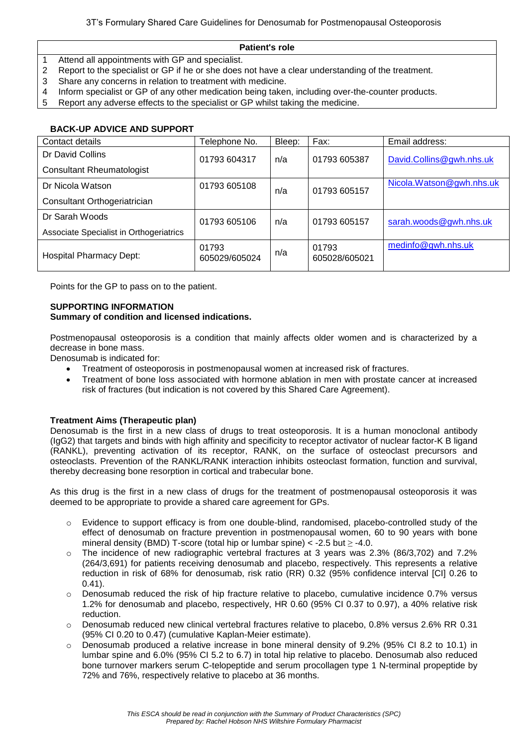## **Patient's role**

- 1 Attend all appointments with GP and specialist.
- 2 Report to the specialist or GP if he or she does not have a clear understanding of the treatment.
- 3 Share any concerns in relation to treatment with medicine.
- 4 Inform specialist or GP of any other medication being taken, including over-the-counter products.
- 5 Report any adverse effects to the specialist or GP whilst taking the medicine.

## **BACK-UP ADVICE AND SUPPORT**

| Contact details                         | Telephone No.          | Bleep: | Fax:                   | Email address:           |
|-----------------------------------------|------------------------|--------|------------------------|--------------------------|
| Dr David Collins                        | 01793 604317           | n/a    | 01793 605387           | David.Collins@gwh.nhs.uk |
| <b>Consultant Rheumatologist</b>        |                        |        |                        |                          |
| Dr Nicola Watson                        | 01793 605108           | n/a    | 01793 605157           | Nicola.Watson@gwh.nhs.uk |
| Consultant Orthogeriatrician            |                        |        |                        |                          |
| Dr Sarah Woods                          | 01793 605106           | n/a    | 01793 605157           | sarah.woods@gwh.nhs.uk   |
| Associate Specialist in Orthogeriatrics |                        |        |                        |                          |
| <b>Hospital Pharmacy Dept:</b>          | 01793<br>605029/605024 | n/a    | 01793<br>605028/605021 | medinfo@gwh.nhs.uk       |

Points for the GP to pass on to the patient.

#### **SUPPORTING INFORMATION Summary of condition and licensed indications.**

Postmenopausal osteoporosis is a condition that mainly affects older women and is characterized by a decrease in bone mass.

Denosumab is indicated for:

- Treatment of osteoporosis in postmenopausal women at increased risk of fractures.
- Treatment of bone loss associated with hormone ablation in men with prostate cancer at increased risk of fractures (but indication is not covered by this Shared Care Agreement).

## **Treatment Aims (Therapeutic plan)**

Denosumab is the first in a new class of drugs to treat osteoporosis. It is a human monoclonal antibody (IgG2) that targets and binds with high affinity and specificity to receptor activator of nuclear factor-K B ligand (RANKL), preventing activation of its receptor, RANK, on the surface of osteoclast precursors and osteoclasts. Prevention of the RANKL/RANK interaction inhibits osteoclast formation, function and survival, thereby decreasing bone resorption in cortical and trabecular bone.

As this drug is the first in a new class of drugs for the treatment of postmenopausal osteoporosis it was deemed to be appropriate to provide a shared care agreement for GPs.

- $\circ$  Evidence to support efficacy is from one double-blind, randomised, placebo-controlled study of the effect of denosumab on fracture prevention in postmenopausal women, 60 to 90 years with bone mineral density (BMD) T-score (total hip or lumbar spine) < -2.5 but  $\geq$  -4.0.
- o The incidence of new radiographic vertebral fractures at 3 years was 2.3% (86/3,702) and 7.2% (264/3,691) for patients receiving denosumab and placebo, respectively. This represents a relative reduction in risk of 68% for denosumab, risk ratio (RR) 0.32 (95% confidence interval [CI] 0.26 to 0.41).
- $\circ$  Denosumab reduced the risk of hip fracture relative to placebo, cumulative incidence 0.7% versus 1.2% for denosumab and placebo, respectively, HR 0.60 (95% CI 0.37 to 0.97), a 40% relative risk reduction.
- o Denosumab reduced new clinical vertebral fractures relative to placebo, 0.8% versus 2.6% RR 0.31 (95% CI 0.20 to 0.47) (cumulative Kaplan-Meier estimate).
- $\circ$  Denosumab produced a relative increase in bone mineral density of 9.2% (95% CI 8.2 to 10.1) in lumbar spine and 6.0% (95% CI 5.2 to 6.7) in total hip relative to placebo. Denosumab also reduced bone turnover markers serum C-telopeptide and serum procollagen type 1 N-terminal propeptide by 72% and 76%, respectively relative to placebo at 36 months.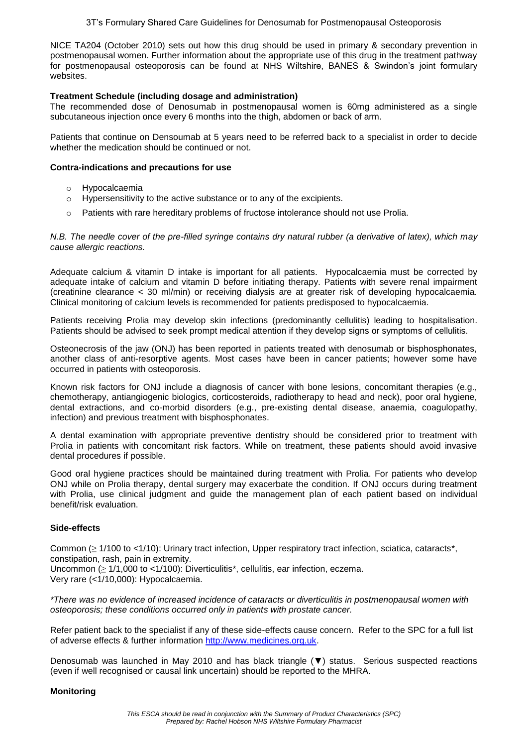NICE TA204 (October 2010) sets out how this drug should be used in primary & secondary prevention in postmenopausal women. Further information about the appropriate use of this drug in the treatment pathway for postmenopausal osteoporosis can be found at NHS Wiltshire, BANES & Swindon's joint formulary websites.

## **Treatment Schedule (including dosage and administration)**

The recommended dose of Denosumab in postmenopausal women is 60mg administered as a single subcutaneous injection once every 6 months into the thigh, abdomen or back of arm.

Patients that continue on Densoumab at 5 years need to be referred back to a specialist in order to decide whether the medication should be continued or not.

#### **Contra-indications and precautions for use**

- o Hypocalcaemia
- o Hypersensitivity to the active substance or to any of the excipients.
- $\circ$  Patients with rare hereditary problems of fructose intolerance should not use Prolia.

*N.B. The needle cover of the pre-filled syringe contains dry natural rubber (a derivative of latex), which may cause allergic reactions.*

Adequate calcium & vitamin D intake is important for all patients. Hypocalcaemia must be corrected by adequate intake of calcium and vitamin D before initiating therapy. Patients with severe renal impairment (creatinine clearance < 30 ml/min) or receiving dialysis are at greater risk of developing hypocalcaemia. Clinical monitoring of calcium levels is recommended for patients predisposed to hypocalcaemia.

Patients receiving Prolia may develop skin infections (predominantly cellulitis) leading to hospitalisation. Patients should be advised to seek prompt medical attention if they develop signs or symptoms of cellulitis.

Osteonecrosis of the jaw (ONJ) has been reported in patients treated with denosumab or bisphosphonates, another class of anti-resorptive agents. Most cases have been in cancer patients; however some have occurred in patients with osteoporosis.

Known risk factors for ONJ include a diagnosis of cancer with bone lesions, concomitant therapies (e.g., chemotherapy, antiangiogenic biologics, corticosteroids, radiotherapy to head and neck), poor oral hygiene, dental extractions, and co-morbid disorders (e.g., pre-existing dental disease, anaemia, coagulopathy, infection) and previous treatment with bisphosphonates.

A dental examination with appropriate preventive dentistry should be considered prior to treatment with Prolia in patients with concomitant risk factors. While on treatment, these patients should avoid invasive dental procedures if possible.

Good oral hygiene practices should be maintained during treatment with Prolia. For patients who develop ONJ while on Prolia therapy, dental surgery may exacerbate the condition. If ONJ occurs during treatment with Prolia, use clinical judgment and guide the management plan of each patient based on individual benefit/risk evaluation.

# **Side-effects**

Common (≥ 1/100 to <1/10): Urinary tract infection, Upper respiratory tract infection, sciatica, cataracts\*, constipation, rash, pain in extremity. Uncommon ( $\geq 1/1,000$  to <1/100): Diverticulitis\*, cellulitis, ear infection, eczema. Very rare (<1/10,000): Hypocalcaemia.

*\*There was no evidence of increased incidence of cataracts or diverticulitis in postmenopausal women with osteoporosis; these conditions occurred only in patients with prostate cancer.*

Refer patient back to the specialist if any of these side-effects cause concern. Refer to the SPC for a full list of adverse effects & further information [http://www.medicines.org.uk.](http://www.medicines.org.uk/)

Denosumab was launched in May 2010 and has black triangle (▼) status. Serious suspected reactions (even if well recognised or causal link uncertain) should be reported to the MHRA.

#### **Monitoring**